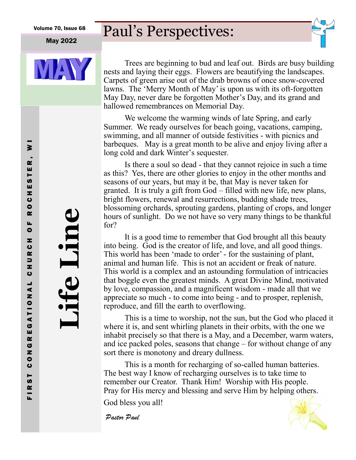#### May 2022



# Paul's Perspectives:



Trees are beginning to bud and leaf out. Birds are busy building nests and laying their eggs. Flowers are beautifying the landscapes. Carpets of green arise out of the drab browns of once snow-covered lawns. The 'Merry Month of May' is upon us with its oft-forgotten May Day, never dare be forgotten Mother's Day, and its grand and hallowed remembrances on Memorial Day.

We welcome the warming winds of late Spring, and early Summer. We ready ourselves for beach going, vacations, camping, swimming, and all manner of outside festivities - with picnics and barbeques. May is a great month to be alive and enjoy living after a long cold and dark Winter's sequester.

Is there a soul so dead - that they cannot rejoice in such a time as this? Yes, there are other glories to enjoy in the other months and seasons of our years, but may it be, that May is never taken for granted. It is truly a gift from God – filled with new life, new plans, bright flowers, renewal and resurrections, budding shade trees, blossoming orchards, sprouting gardens, planting of crops, and longer hours of sunlight. Do we not have so very many things to be thankful for?

It is a good time to remember that God brought all this beauty into being. God is the creator of life, and love, and all good things. This world has been 'made to order' - for the sustaining of plant, animal and human life. This is not an accident or freak of nature. This world is a complex and an astounding formulation of intricacies that boggle even the greatest minds. A great Divine Mind, motivated by love, compassion, and a magnificent wisdom - made all that we appreciate so much - to come into being - and to prosper, replenish, reproduce, and fill the earth to overflowing.

This is a time to worship, not the sun, but the God who placed it where it is, and sent whirling planets in their orbits, with the one we inhabit precisely so that there is a May, and a December, warm waters, and ice packed poles, seasons that change – for without change of any sort there is monotony and dreary dullness.

This is a month for recharging of so-called human batteries. The best way I know of recharging ourselves is to take time to remember our Creator. Thank Him! Worship with His people. Pray for His mercy and blessing and serve Him by helping others.

God bless you all!

Pastor Paul

**Life Line**

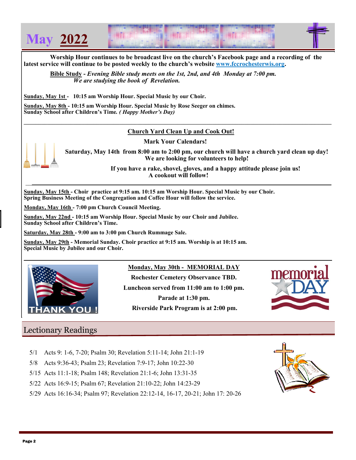

 **Worship Hour continues to be broadcast live on the church's Facebook page and a recording of the latest service will continue to be posted weekly to the church's website [www.fccrochesterwis.org.](http://www.fccrochesterwis.org)** 

 **Bible Study -** *Evening Bible study meets on the 1st, 2nd, and 4th Monday at 7:00 pm. We are studying the book of Revelation.* 

**Sunday, May 1st - 10:15 am Worship Hour. Special Music by our Choir.**

**Sunday, May 8th - 10:15 am Worship Hour. Special Music by Rose Seeger on chimes. Sunday School after Children's Time***. ( Happy Mother's Day)*

#### **Church Yard Clean Up and Cook Out!**

 $\mathcal{L} = \{ \mathcal{L} \mathcal{L} \mathcal{L} \mathcal{L} \mathcal{L} \mathcal{L} \mathcal{L} \mathcal{L} \mathcal{L} \mathcal{L} \mathcal{L} \mathcal{L} \mathcal{L} \mathcal{L} \mathcal{L} \mathcal{L} \mathcal{L} \mathcal{L} \mathcal{L} \mathcal{L} \mathcal{L} \mathcal{L} \mathcal{L} \mathcal{L} \mathcal{L} \mathcal{L} \mathcal{L} \mathcal{L} \mathcal{L} \mathcal{L} \mathcal{L} \mathcal{L} \mathcal{L} \mathcal{L} \mathcal{L} \$ 

 **Mark Your Calendars!** 

 $\frac{1}{2}$  ,  $\frac{1}{2}$  ,  $\frac{1}{2}$  ,  $\frac{1}{2}$  ,  $\frac{1}{2}$  ,  $\frac{1}{2}$  ,  $\frac{1}{2}$  ,  $\frac{1}{2}$  ,  $\frac{1}{2}$  ,  $\frac{1}{2}$  ,  $\frac{1}{2}$  ,  $\frac{1}{2}$  ,  $\frac{1}{2}$  ,  $\frac{1}{2}$  ,  $\frac{1}{2}$  ,  $\frac{1}{2}$  ,  $\frac{1}{2}$  ,  $\frac{1}{2}$  ,  $\frac{1$ 



**Saturday, May 14th from 8:00 am to 2:00 pm, our church will have a church yard clean up day! We are looking for volunteers to help!** 

> **If you have a rake, shovel, gloves, and a happy attitude please join us! A cookout will follow!**

**Sunday, May 15th - Choir practice at 9:15 am. 10:15 am Worship Hour. Special Music by our Choir. Spring Business Meeting of the Congregation and Coffee Hour will follow the service.** 

**Monday, May 16th - 7:00 pm Church Council Meeting.**

**Sunday, May 22nd - 10:15 am Worship Hour. Special Music by our Choir and Jubilee. Sunday School after Children's Time.**

**Saturday, May 28th - 9:00 am to 3:00 pm Church Rummage Sale.**

**Sunday, May 29th - Memorial Sunday. Choir practice at 9:15 am. Worship is at 10:15 am. Special Music by Jubilee and our Choir.** 



**Monday, May 30th - MEMORIAL DAY** 

**Rochester Cemetery Observance TBD. Luncheon served from 11:00 am to 1:00 pm. Parade at 1:30 pm. Riverside Park Program is at 2:00 pm.**



## Lectionary Readings

- 5/1 Acts 9: 1-6, 7-20; Psalm 30; Revelation 5:11-14; John 21:1-19
- 5/8 Acts 9:36-43; Psalm 23; Revelation 7:9-17; John 10:22-30
- 5/15 Acts 11:1-18; Psalm 148; Revelation 21:1-6; John 13:31-35
- 5/22 Acts 16:9-15; Psalm 67; Revelation 21:10-22; John 14:23-29
- 5/29 Acts 16:16-34; Psalm 97; Revelation 22:12-14, 16-17, 20-21; John 17: 20-26

![](_page_1_Picture_25.jpeg)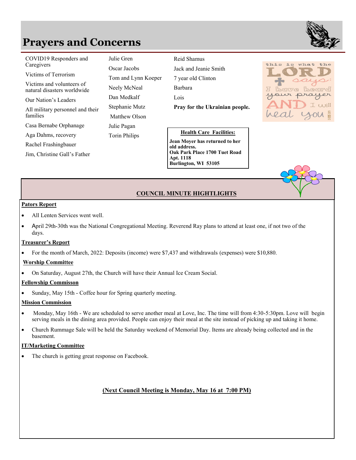# **Prayers and Concerns**

**COVID19 Responders and** Julie Gren

Victims of Terrorism **Jay While**

natural disasters worldwide Victims and volunteers of

Our Nation's Leaders

All military personnel and their families

Casa Bernabe Orphanage

Aga Dahms, recovery **Torin** 

Rachel Frashingbauer

**All million** Units Tom and Tom and Lynn Christine Gall's Father **Tom and Lynn Koeper J** Cake Park Place 1

Julie Gren Oscar Jacobs Tom and Lynn Koeper Neely McNeal Dan Medkalf Stephanie Mutz Matthew Olson Julie Pagan Torin Philips

Caregivers Caregivers Contractor Contractor Mrs. Jen-11 11 11 12 12 14 Reid Shamus Jack and Jeanie Smith 7 year old Clinton Barbara Lois **Pray for the Ukrainian people.**

#### **Health Care Facilities:**

**Casa Bernardie Philippine Philippine Philippine Philippine Philippine Philippine Philippine Philippine Philippine Philippine Philippine Philippine Philippine Philippine Philippine Philippine Philippine Philippine Philippi Jean Moyer has returned to her old address. Oak Park Place 1700 Tuet Road Apt. 1118 Burlington, WI 53105** 

![](_page_2_Picture_15.jpeg)

### **COUNCIL MINUTE HIGHTLIGHTS**

#### **Pators Report**

- All Lenten Services went well.
- April 29th-30th was the National Congregational Meeting. Reverend Ray plans to attend at least one, if not two of the days.

#### **Treasurer's Report**

• For the month of March, 2022: Deposits (income) were \$7,437 and withdrawals (expenses) were \$10,880.

#### **Worship Committee**

• On Saturday, August 27th, the Church will have their Annual Ice Cream Social.

#### **Fellowship Commisson**

Sunday, May 15th - Coffee hour for Spring quarterly meeting.

#### **Mission Commission**

- Monday, May 16th We are scheduled to serve another meal at Love, Inc. The time will from 4:30-5:30pm. Love will begin serving meals in the dining area provided. People can enjoy their meal at the site instead of picking up and taking it home.
- Church Rummage Sale will be held the Saturday weekend of Memorial Day. Items are already being collected and in the basement.

#### **IT/Marketing Committee**

The church is getting great response on Facebook.

### **(Next Council Meeting is Monday, May 16 at 7:00 PM)**